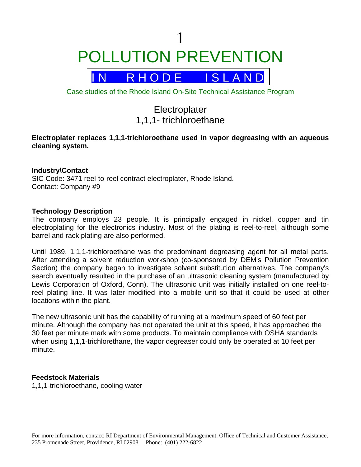1 POLLUTION PREVENTION



Case studies of the Rhode Island On-Site Technical Assistance Program

# **Electroplater** 1,1,1- trichloroethane

# **Electroplater replaces 1,1,1-trichloroethane used in vapor degreasing with an aqueous cleaning system.**

# **Industry\Contact**

SIC Code: 3471 reel-to-reel contract electroplater, Rhode Island. Contact: Company #9

## **Technology Description**

The company employs 23 people. It is principally engaged in nickel, copper and tin electroplating for the electronics industry. Most of the plating is reel-to-reel, although some barrel and rack plating are also performed.

Until 1989, 1,1,1-trichloroethane was the predominant degreasing agent for all metal parts. After attending a solvent reduction workshop (co-sponsored by DEM's Pollution Prevention Section) the company began to investigate solvent substitution alternatives. The company's search eventually resulted in the purchase of an ultrasonic cleaning system (manufactured by Lewis Corporation of Oxford, Conn). The ultrasonic unit was initially installed on one reel-toreel plating line. It was later modified into a mobile unit so that it could be used at other locations within the plant.

The new ultrasonic unit has the capability of running at a maximum speed of 60 feet per minute. Although the company has not operated the unit at this speed, it has approached the 30 feet per minute mark with some products. To maintain compliance with OSHA standards when using 1,1,1-trichlorethane, the vapor degreaser could only be operated at 10 feet per minute.

## **Feedstock Materials**

1,1,1-trichloroethane, cooling water